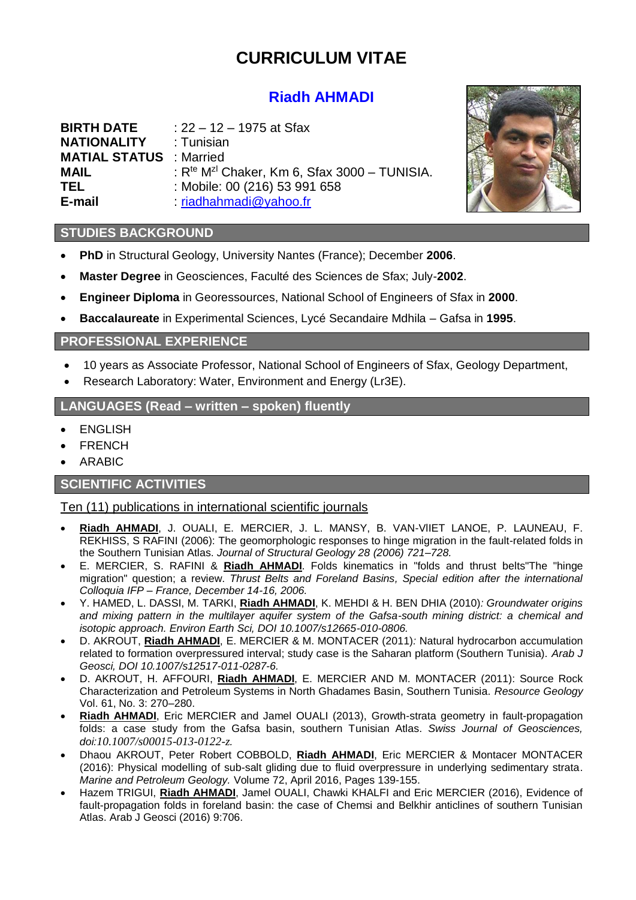# **CURRICULUM VITAE**

# **Riadh AHMADI**

| <b>BIRTH DATE</b>              | : 22 – 12 – 1975 at Sfax                                             |
|--------------------------------|----------------------------------------------------------------------|
| <b>NATIONALITY</b>             | : Tunisian                                                           |
| <b>MATIAL STATUS</b> : Married |                                                                      |
| <b>MAIL</b>                    | : R <sup>te</sup> M <sup>zi</sup> Chaker, Km 6, Sfax 3000 - TUNISIA. |
| <b>TEL</b>                     | : Mobile: 00 (216) 53 991 658                                        |
| E-mail                         | $:$ riadhahmadi@yahoo.fr                                             |



#### **STUDIES BACKGROUND**

- **PhD** in Structural Geology, University Nantes (France); December **2006**.
- **Master Degree** in Geosciences, Faculté des Sciences de Sfax; July-**2002**.
- **Engineer Diploma** in Georessources, National School of Engineers of Sfax in **2000**.
- **Baccalaureate** in Experimental Sciences, Lycé Secandaire Mdhila Gafsa in **1995**.

## **PROFESSIONAL EXPERIENCE**

- 10 years as Associate Professor, National School of Engineers of Sfax, Geology Department,
- Research Laboratory: Water, Environment and Energy (Lr3E).

#### **LANGUAGES (Read – written – spoken) fluently**

- ENGLISH
- FRENCH
- ARABIC

#### **SCIENTIFIC ACTIVITIES**

#### Ten (11) publications in international scientific journals

- **Riadh AHMADI**, J. OUALI, E. MERCIER, J. L. MANSY, B. VAN-VlIET LANOE, P. LAUNEAU, F. REKHISS, S RAFINI (2006): The geomorphologic responses to hinge migration in the fault-related folds in the Southern Tunisian Atlas. *Journal of Structural Geology 28 (2006) 721–728.*
- E. MERCIER, S. RAFINI & **Riadh AHMADI**. Folds kinematics in "folds and thrust belts"The "hinge migration" question; a review. *Thrust Belts and Foreland Basins, Special edition after the international Colloquia IFP – France, December 14-16, 2006.*
- Y. HAMED, L. DASSI, M. TARKI, **Riadh AHMADI**, K. MEHDI & H. BEN DHIA (2010)*: Groundwater origins and mixing pattern in the multilayer aquifer system of the Gafsa-south mining district: a chemical and isotopic approach. Environ Earth Sci, DOI 10.1007/s12665-010-0806.*
- D. AKROUT, **Riadh AHMADI**, E. MERCIER & M. MONTACER (2011)*:* Natural hydrocarbon accumulation related to formation overpressured interval; study case is the Saharan platform (Southern Tunisia). *Arab J Geosci, DOI 10.1007/s12517-011-0287-6.*
- D. AKROUT, H. AFFOURI, **Riadh AHMADI**, E. MERCIER AND M. MONTACER (2011): Source Rock Characterization and Petroleum Systems in North Ghadames Basin, Southern Tunisia. *Resource Geology*  Vol. 61, No. 3: 270–280.
- **Riadh AHMADI**, Eric MERCIER and Jamel OUALI (2013), Growth-strata geometry in fault-propagation folds: a case study from the Gafsa basin, southern Tunisian Atlas. *Swiss Journal of Geosciences, doi:[10.1007/s00015-013-0122-z](http://dx.doi.org/10.1007/s00015-013-0122-z).*
- Dhaou AKROUT, Peter Robert COBBOLD, **Riadh AHMADI**, Eric MERCIER & Montacer MONTACER (2016): Physical modelling of sub-salt gliding due to fluid overpressure in underlying sedimentary strata. *Marine and Petroleum Geology.* Volume 72, April 2016, Pages 139-155.
- Hazem TRIGUI, **Riadh AHMADI**, Jamel OUALI, Chawki KHALFI and Eric MERCIER (2016), Evidence of fault-propagation folds in foreland basin: the case of Chemsi and Belkhir anticlines of southern Tunisian Atlas. Arab J Geosci (2016) 9:706.